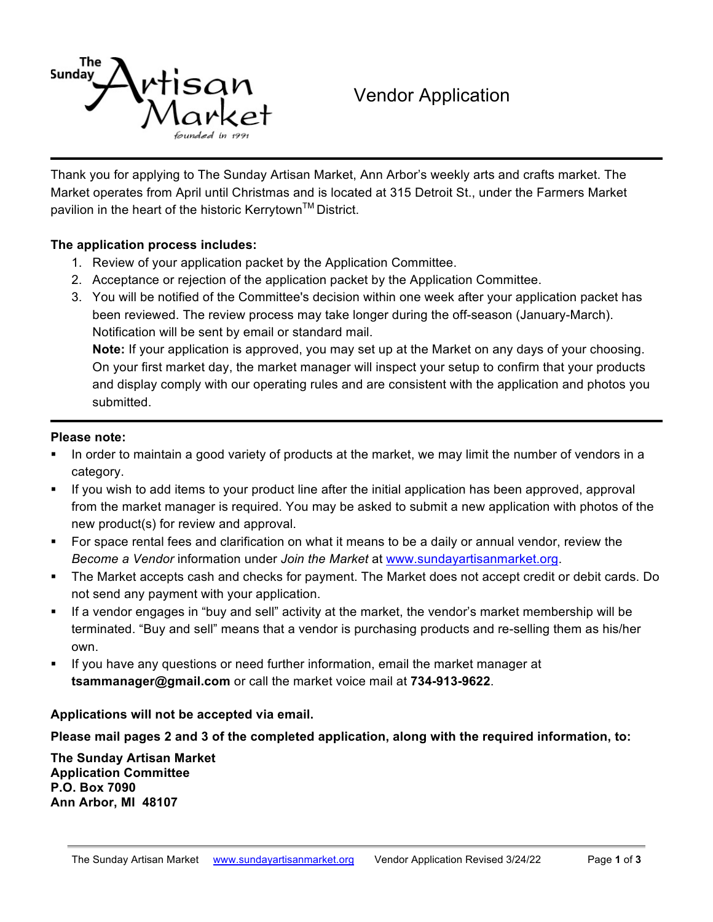

# Vendor Application

Thank you for applying to The Sunday Artisan Market, Ann Arbor's weekly arts and crafts market. The Market operates from April until Christmas and is located at 315 Detroit St., under the Farmers Market pavilion in the heart of the historic Kerrytown<sup>TM</sup> District.

### **The application process includes:**

- 1. Review of your application packet by the Application Committee.
- 2. Acceptance or rejection of the application packet by the Application Committee.
- 3. You will be notified of the Committee's decision within one week after your application packet has been reviewed. The review process may take longer during the off-season (January-March). Notification will be sent by email or standard mail.

**Note:** If your application is approved, you may set up at the Market on any days of your choosing. On your first market day, the market manager will inspect your setup to confirm that your products and display comply with our operating rules and are consistent with the application and photos you submitted.

#### **Please note:**

- In order to maintain a good variety of products at the market, we may limit the number of vendors in a category.
- ! If you wish to add items to your product line after the initial application has been approved, approval from the market manager is required. You may be asked to submit a new application with photos of the new product(s) for review and approval.
- ! For space rental fees and clarification on what it means to be a daily or annual vendor, review the *Become a Vendor* information under *Join the Market* at www.sundayartisanmarket.org.
- ! The Market accepts cash and checks for payment. The Market does not accept credit or debit cards. Do not send any payment with your application.
- ! If a vendor engages in "buy and sell" activity at the market, the vendor's market membership will be terminated. "Buy and sell" means that a vendor is purchasing products and re-selling them as his/her own.
- ! If you have any questions or need further information, email the market manager at **tsammanager@gmail.com** or call the market voice mail at **734-913-9622**.

## **Applications will not be accepted via email.**

**Please mail pages 2 and 3 of the completed application, along with the required information, to:**

**The Sunday Artisan Market Application Committee P.O. Box 7090 Ann Arbor, MI 48107**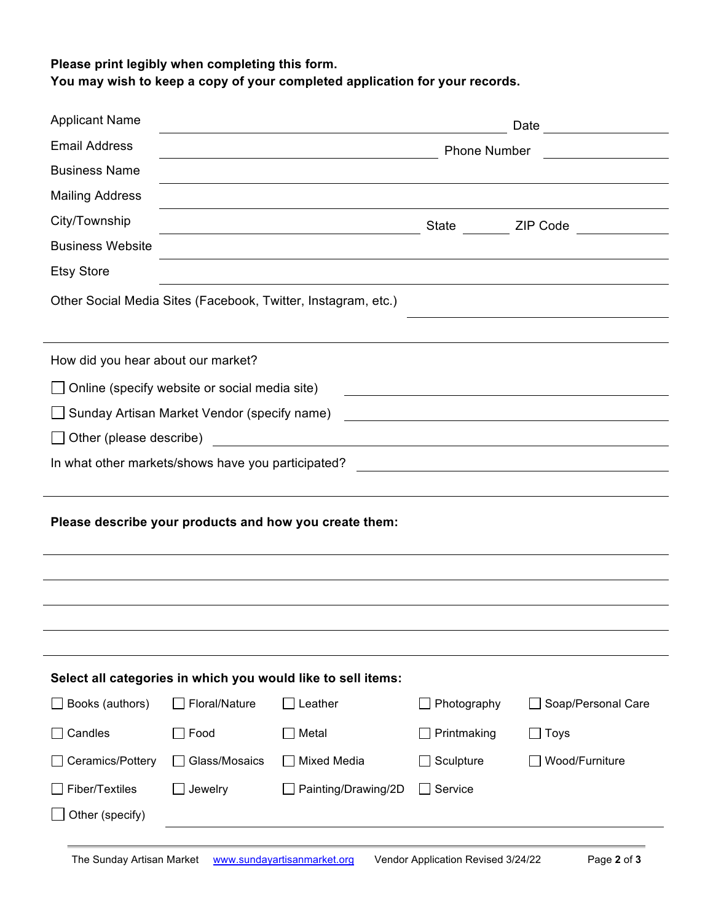# **Please print legibly when completing this form. You may wish to keep a copy of your completed application for your records.**

| <b>Applicant Name</b>                                                                                                                                               |                                                                                           |                     |                |                    |  |  |
|---------------------------------------------------------------------------------------------------------------------------------------------------------------------|-------------------------------------------------------------------------------------------|---------------------|----------------|--------------------|--|--|
| <b>Email Address</b>                                                                                                                                                | <b>Marshall Phone Number</b> Phone Number<br><u> 1990 - Jan Barnett, fransk politik (</u> |                     |                |                    |  |  |
| <b>Business Name</b>                                                                                                                                                |                                                                                           |                     |                |                    |  |  |
| <b>Mailing Address</b>                                                                                                                                              |                                                                                           |                     |                |                    |  |  |
| City/Township                                                                                                                                                       |                                                                                           |                     | State ZIP Code |                    |  |  |
| <b>Business Website</b>                                                                                                                                             |                                                                                           |                     |                |                    |  |  |
| <b>Etsy Store</b>                                                                                                                                                   |                                                                                           |                     |                |                    |  |  |
| Other Social Media Sites (Facebook, Twitter, Instagram, etc.)                                                                                                       |                                                                                           |                     |                |                    |  |  |
|                                                                                                                                                                     |                                                                                           |                     |                |                    |  |  |
| How did you hear about our market?                                                                                                                                  |                                                                                           |                     |                |                    |  |  |
| Online (specify website or social media site)                                                                                                                       |                                                                                           |                     |                |                    |  |  |
| Sunday Artisan Market Vendor (specify name)<br><u> 1989 - Johann Barbara, martin amerikan basal dan berasal dan berasal dalam basal dan berasal dan berasal dan</u> |                                                                                           |                     |                |                    |  |  |
| <u> 1980 - Jan Barbara Barat, margaret eta idazlea (h. 1980).</u><br>Other (please describe)                                                                        |                                                                                           |                     |                |                    |  |  |
|                                                                                                                                                                     |                                                                                           |                     |                |                    |  |  |
|                                                                                                                                                                     |                                                                                           |                     |                |                    |  |  |
| Please describe your products and how you create them:                                                                                                              |                                                                                           |                     |                |                    |  |  |
|                                                                                                                                                                     |                                                                                           |                     |                |                    |  |  |
|                                                                                                                                                                     |                                                                                           |                     |                |                    |  |  |
|                                                                                                                                                                     |                                                                                           |                     |                |                    |  |  |
|                                                                                                                                                                     |                                                                                           |                     |                |                    |  |  |
|                                                                                                                                                                     |                                                                                           |                     |                |                    |  |  |
| Select all categories in which you would like to sell items:                                                                                                        |                                                                                           |                     |                |                    |  |  |
| Books (authors)                                                                                                                                                     | Floral/Nature                                                                             | Leather             | Photography    | Soap/Personal Care |  |  |
| Candles                                                                                                                                                             | $\Box$ Food                                                                               | Metal               | Printmaking    | Toys               |  |  |
| Ceramics/Pottery                                                                                                                                                    | Glass/Mosaics                                                                             | <b>Mixed Media</b>  | Sculpture      | Wood/Furniture     |  |  |
| Fiber/Textiles                                                                                                                                                      | Jewelry                                                                                   | Painting/Drawing/2D | Service        |                    |  |  |
| Other (specify)                                                                                                                                                     |                                                                                           |                     |                |                    |  |  |